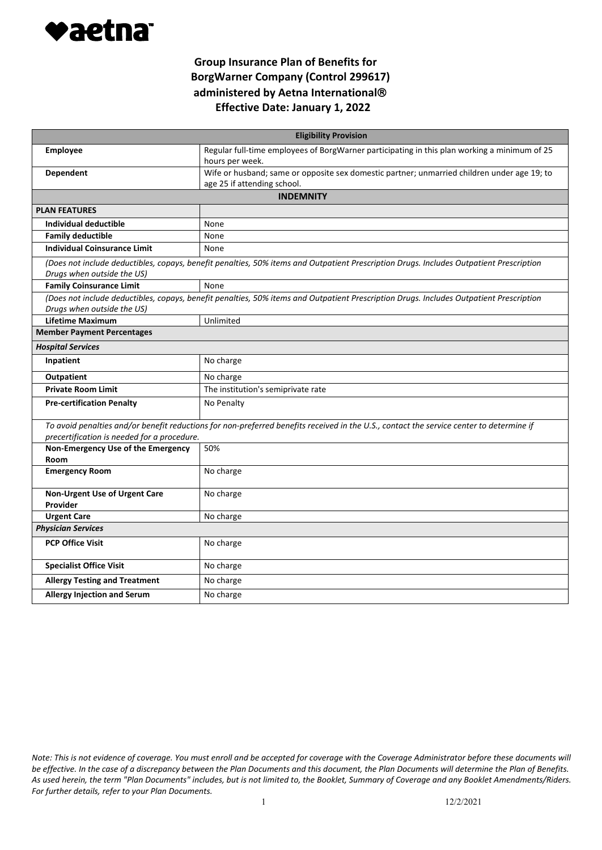

| <b>Eligibility Provision</b>                                                                                                                                          |                                                                                                                                          |  |
|-----------------------------------------------------------------------------------------------------------------------------------------------------------------------|------------------------------------------------------------------------------------------------------------------------------------------|--|
| <b>Employee</b>                                                                                                                                                       | Regular full-time employees of BorgWarner participating in this plan working a minimum of 25                                             |  |
|                                                                                                                                                                       | hours per week.                                                                                                                          |  |
| <b>Dependent</b>                                                                                                                                                      | Wife or husband; same or opposite sex domestic partner; unmarried children under age 19; to                                              |  |
|                                                                                                                                                                       | age 25 if attending school.                                                                                                              |  |
| <b>INDEMNITY</b>                                                                                                                                                      |                                                                                                                                          |  |
| <b>PLAN FEATURES</b>                                                                                                                                                  |                                                                                                                                          |  |
| Individual deductible                                                                                                                                                 | None                                                                                                                                     |  |
| <b>Family deductible</b>                                                                                                                                              | None                                                                                                                                     |  |
| <b>Individual Coinsurance Limit</b>                                                                                                                                   | None                                                                                                                                     |  |
| (Does not include deductibles, copays, benefit penalties, 50% items and Outpatient Prescription Drugs. Includes Outpatient Prescription<br>Drugs when outside the US) |                                                                                                                                          |  |
| <b>Family Coinsurance Limit</b>                                                                                                                                       | None                                                                                                                                     |  |
| (Does not include deductibles, copays, benefit penalties, 50% items and Outpatient Prescription Drugs. Includes Outpatient Prescription<br>Drugs when outside the US) |                                                                                                                                          |  |
| <b>Lifetime Maximum</b>                                                                                                                                               | Unlimited                                                                                                                                |  |
| <b>Member Payment Percentages</b>                                                                                                                                     |                                                                                                                                          |  |
| <b>Hospital Services</b>                                                                                                                                              |                                                                                                                                          |  |
| Inpatient                                                                                                                                                             | No charge                                                                                                                                |  |
| <b>Outpatient</b>                                                                                                                                                     | No charge                                                                                                                                |  |
| <b>Private Room Limit</b>                                                                                                                                             | The institution's semiprivate rate                                                                                                       |  |
| <b>Pre-certification Penalty</b>                                                                                                                                      | No Penalty                                                                                                                               |  |
|                                                                                                                                                                       | To avoid penalties and/or benefit reductions for non-preferred benefits received in the U.S., contact the service center to determine if |  |
| precertification is needed for a procedure.                                                                                                                           |                                                                                                                                          |  |
| Non-Emergency Use of the Emergency                                                                                                                                    | 50%                                                                                                                                      |  |
| Room                                                                                                                                                                  |                                                                                                                                          |  |
| <b>Emergency Room</b>                                                                                                                                                 | No charge                                                                                                                                |  |
| Non-Urgent Use of Urgent Care                                                                                                                                         | No charge                                                                                                                                |  |
| Provider                                                                                                                                                              |                                                                                                                                          |  |
| <b>Urgent Care</b>                                                                                                                                                    | No charge                                                                                                                                |  |
| <b>Physician Services</b>                                                                                                                                             |                                                                                                                                          |  |
| <b>PCP Office Visit</b>                                                                                                                                               | No charge                                                                                                                                |  |
| <b>Specialist Office Visit</b>                                                                                                                                        | No charge                                                                                                                                |  |
| <b>Allergy Testing and Treatment</b>                                                                                                                                  | No charge                                                                                                                                |  |
| <b>Allergy Injection and Serum</b>                                                                                                                                    | No charge                                                                                                                                |  |

*Note: This is not evidence of coverage. You must enroll and be accepted for coverage with the Coverage Administrator before these documents will be effective. In the case of a discrepancy between the Plan Documents and this document, the Plan Documents will determine the Plan of Benefits. As used herein, the term "Plan Documents" includes, but is not limited to, the Booklet, Summary of Coverage and any Booklet Amendments/Riders. For further details, refer to your Plan Documents.*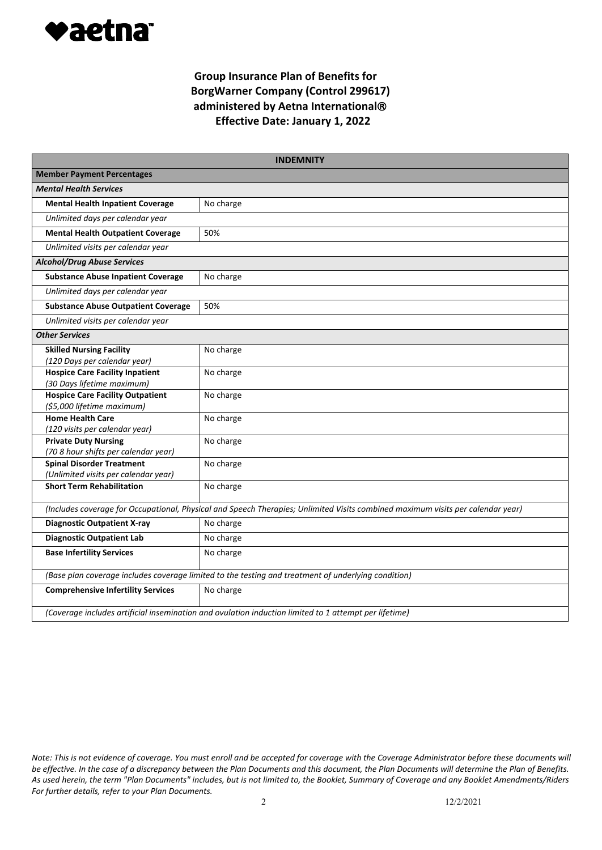

|                                                                                                                                 | <b>INDEMNITY</b> |  |
|---------------------------------------------------------------------------------------------------------------------------------|------------------|--|
| <b>Member Payment Percentages</b>                                                                                               |                  |  |
| <b>Mental Health Services</b>                                                                                                   |                  |  |
| <b>Mental Health Inpatient Coverage</b>                                                                                         | No charge        |  |
| Unlimited days per calendar year                                                                                                |                  |  |
| <b>Mental Health Outpatient Coverage</b>                                                                                        | 50%              |  |
| Unlimited visits per calendar year                                                                                              |                  |  |
| <b>Alcohol/Drug Abuse Services</b>                                                                                              |                  |  |
| <b>Substance Abuse Inpatient Coverage</b>                                                                                       | No charge        |  |
| Unlimited days per calendar year                                                                                                |                  |  |
| <b>Substance Abuse Outpatient Coverage</b>                                                                                      | 50%              |  |
| Unlimited visits per calendar year                                                                                              |                  |  |
| <b>Other Services</b>                                                                                                           |                  |  |
| <b>Skilled Nursing Facility</b><br>(120 Days per calendar year)                                                                 | No charge        |  |
| <b>Hospice Care Facility Inpatient</b><br>(30 Days lifetime maximum)                                                            | No charge        |  |
| <b>Hospice Care Facility Outpatient</b><br>(\$5,000 lifetime maximum)                                                           | No charge        |  |
| <b>Home Health Care</b><br>(120 visits per calendar year)                                                                       | No charge        |  |
| <b>Private Duty Nursing</b><br>(70 8 hour shifts per calendar year)                                                             | No charge        |  |
| <b>Spinal Disorder Treatment</b><br>(Unlimited visits per calendar year)                                                        | No charge        |  |
| <b>Short Term Rehabilitation</b>                                                                                                | No charge        |  |
| (Includes coverage for Occupational, Physical and Speech Therapies; Unlimited Visits combined maximum visits per calendar year) |                  |  |
| <b>Diagnostic Outpatient X-ray</b>                                                                                              | No charge        |  |
| <b>Diagnostic Outpatient Lab</b>                                                                                                | No charge        |  |
| <b>Base Infertility Services</b>                                                                                                | No charge        |  |
| (Base plan coverage includes coverage limited to the testing and treatment of underlying condition)                             |                  |  |
| <b>Comprehensive Infertility Services</b>                                                                                       | No charge        |  |
| (Coverage includes artificial insemination and ovulation induction limited to 1 attempt per lifetime)                           |                  |  |

*Note: This is not evidence of coverage. You must enroll and be accepted for coverage with the Coverage Administrator before these documents will be effective. In the case of a discrepancy between the Plan Documents and this document, the Plan Documents will determine the Plan of Benefits. As used herein, the term "Plan Documents" includes, but is not limited to, the Booklet, Summary of Coverage and any Booklet Amendments/Riders For further details, refer to your Plan Documents.*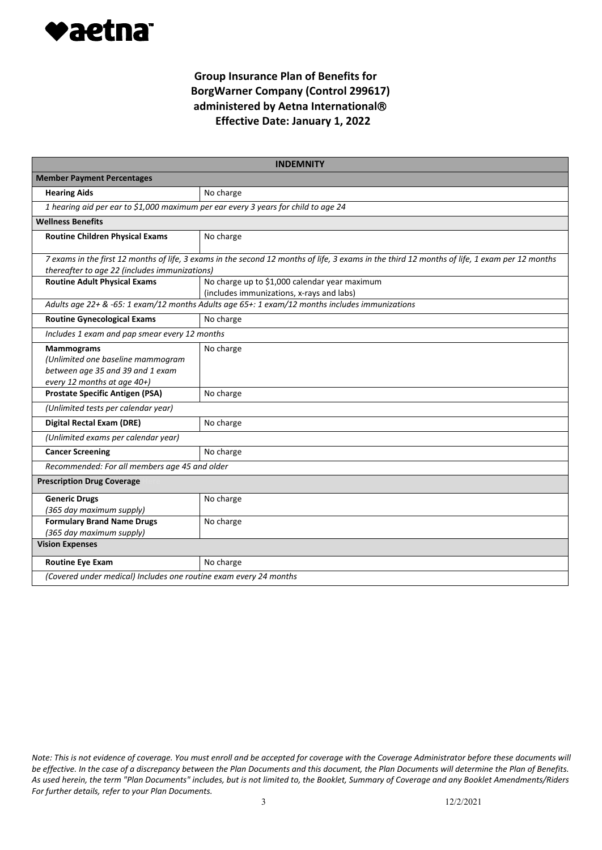

|                                                                                                                                                                                                | <b>INDEMNITY</b>                                                                               |  |
|------------------------------------------------------------------------------------------------------------------------------------------------------------------------------------------------|------------------------------------------------------------------------------------------------|--|
| <b>Member Payment Percentages</b>                                                                                                                                                              |                                                                                                |  |
| <b>Hearing Aids</b>                                                                                                                                                                            | No charge                                                                                      |  |
| 1 hearing aid per ear to \$1,000 maximum per ear every 3 years for child to age 24                                                                                                             |                                                                                                |  |
| <b>Wellness Benefits</b>                                                                                                                                                                       |                                                                                                |  |
| <b>Routine Children Physical Exams</b>                                                                                                                                                         | No charge                                                                                      |  |
| 7 exams in the first 12 months of life, 3 exams in the second 12 months of life, 3 exams in the third 12 months of life, 1 exam per 12 months<br>thereafter to age 22 (includes immunizations) |                                                                                                |  |
| <b>Routine Adult Physical Exams</b>                                                                                                                                                            | No charge up to \$1,000 calendar year maximum<br>(includes immunizations, x-rays and labs)     |  |
|                                                                                                                                                                                                | Adults age 22+ & -65: 1 exam/12 months Adults age 65+: 1 exam/12 months includes immunizations |  |
| <b>Routine Gynecological Exams</b>                                                                                                                                                             | No charge                                                                                      |  |
| Includes 1 exam and pap smear every 12 months                                                                                                                                                  |                                                                                                |  |
| <b>Mammograms</b><br>(Unlimited one baseline mammogram<br>between age 35 and 39 and 1 exam<br>every 12 months at age 40+)                                                                      | No charge                                                                                      |  |
| <b>Prostate Specific Antigen (PSA)</b>                                                                                                                                                         | No charge                                                                                      |  |
| (Unlimited tests per calendar year)                                                                                                                                                            |                                                                                                |  |
| <b>Digital Rectal Exam (DRE)</b>                                                                                                                                                               | No charge                                                                                      |  |
| (Unlimited exams per calendar year)                                                                                                                                                            |                                                                                                |  |
| <b>Cancer Screening</b>                                                                                                                                                                        | No charge                                                                                      |  |
| Recommended: For all members age 45 and older                                                                                                                                                  |                                                                                                |  |
| <b>Prescription Drug Coverage</b>                                                                                                                                                              |                                                                                                |  |
| <b>Generic Drugs</b><br>(365 day maximum supply)                                                                                                                                               | No charge                                                                                      |  |
| <b>Formulary Brand Name Drugs</b><br>(365 day maximum supply)                                                                                                                                  | No charge                                                                                      |  |
| <b>Vision Expenses</b>                                                                                                                                                                         |                                                                                                |  |
| <b>Routine Eye Exam</b>                                                                                                                                                                        | No charge                                                                                      |  |
| (Covered under medical) Includes one routine exam every 24 months                                                                                                                              |                                                                                                |  |

*Note: This is not evidence of coverage. You must enroll and be accepted for coverage with the Coverage Administrator before these documents will be effective. In the case of a discrepancy between the Plan Documents and this document, the Plan Documents will determine the Plan of Benefits. As used herein, the term "Plan Documents" includes, but is not limited to, the Booklet, Summary of Coverage and any Booklet Amendments/Riders For further details, refer to your Plan Documents.*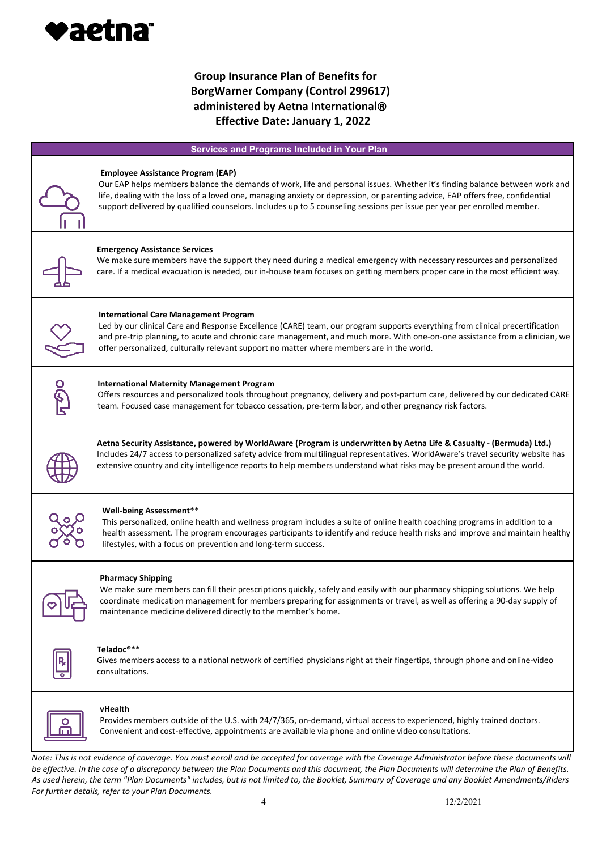

### **Services and Programs Included in Your Plan**

|              | <b>Employee Assistance Program (EAP)</b><br>Our EAP helps members balance the demands of work, life and personal issues. Whether it's finding balance between work and<br>life, dealing with the loss of a loved one, managing anxiety or depression, or parenting advice, EAP offers free, confidential<br>support delivered by qualified counselors. Includes up to 5 counseling sessions per issue per year per enrolled member. |
|--------------|-------------------------------------------------------------------------------------------------------------------------------------------------------------------------------------------------------------------------------------------------------------------------------------------------------------------------------------------------------------------------------------------------------------------------------------|
|              | <b>Emergency Assistance Services</b><br>We make sure members have the support they need during a medical emergency with necessary resources and personalized<br>care. If a medical evacuation is needed, our in-house team focuses on getting members proper care in the most efficient way.                                                                                                                                        |
|              | <b>International Care Management Program</b><br>Led by our clinical Care and Response Excellence (CARE) team, our program supports everything from clinical precertification<br>and pre-trip planning, to acute and chronic care management, and much more. With one-on-one assistance from a clinician, we<br>offer personalized, culturally relevant support no matter where members are in the world.                            |
| <u>ज</u> री0 | <b>International Maternity Management Program</b><br>Offers resources and personalized tools throughout pregnancy, delivery and post-partum care, delivered by our dedicated CARE<br>team. Focused case management for tobacco cessation, pre-term labor, and other pregnancy risk factors.                                                                                                                                         |
|              | Aetna Security Assistance, powered by WorldAware (Program is underwritten by Aetna Life & Casualty - (Bermuda) Ltd.)<br>Includes 24/7 access to personalized safety advice from multilingual representatives. WorldAware's travel security website has<br>extensive country and city intelligence reports to help members understand what risks may be present around the world.                                                    |
|              | <b>Well-being Assessment**</b><br>This personalized, online health and wellness program includes a suite of online health coaching programs in addition to a<br>health assessment. The program encourages participants to identify and reduce health risks and improve and maintain healthy<br>lifestyles, with a focus on prevention and long-term success.                                                                        |
|              | <b>Pharmacy Shipping</b><br>We make sure members can fill their prescriptions quickly, safely and easily with our pharmacy shipping solutions. We help<br>coordinate medication management for members preparing for assignments or travel, as well as offering a 90-day supply of<br>maintenance medicine delivered directly to the member's home.                                                                                 |



#### **Teladoc®\*\***

Gives members access to a national network of certified physicians right at their fingertips, through phone and online-video consultations.



#### **vHealth**

Provides members outside of the U.S. with 24/7/365, on-demand, virtual access to experienced, highly trained doctors. Convenient and cost-effective, appointments are available via phone and online video consultations.

*Note: This is not evidence of coverage. You must enroll and be accepted for coverage with the Coverage Administrator before these documents will be effective. In the case of a discrepancy between the Plan Documents and this document, the Plan Documents will determine the Plan of Benefits. As used herein, the term "Plan Documents" includes, but is not limited to, the Booklet, Summary of Coverage and any Booklet Amendments/Riders For further details, refer to your Plan Documents.*